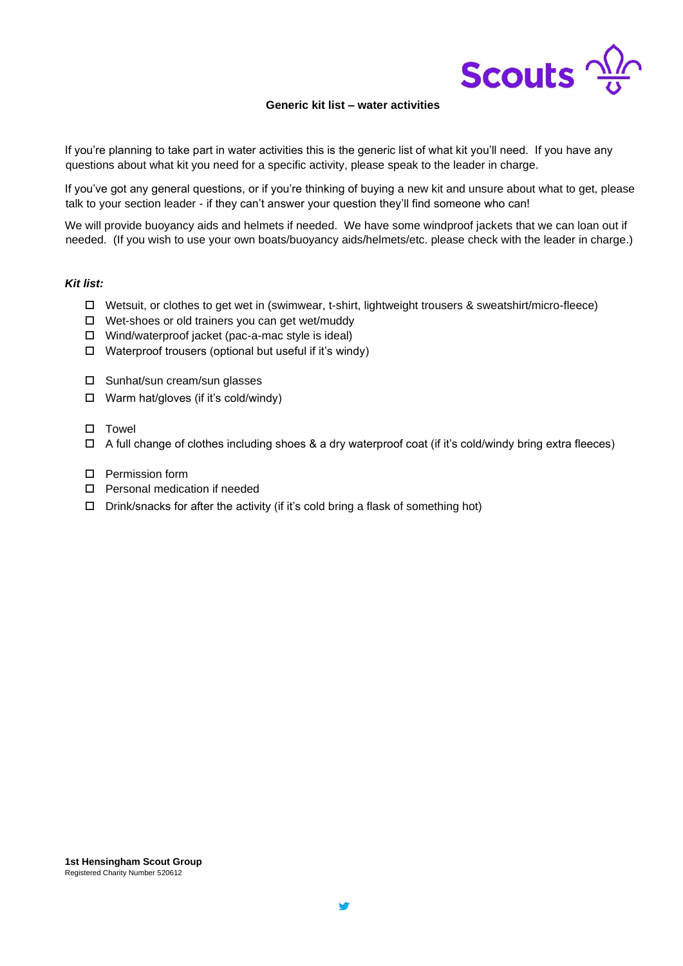

## **Generic kit list – water activities**

If you're planning to take part in water activities this is the generic list of what kit you'll need. If you have any questions about what kit you need for a specific activity, please speak to the leader in charge.

If you've got any general questions, or if you're thinking of buying a new kit and unsure about what to get, please talk to your section leader - if they can't answer your question they'll find someone who can!

We will provide buoyancy aids and helmets if needed. We have some windproof jackets that we can loan out if needed. (If you wish to use your own boats/buoyancy aids/helmets/etc. please check with the leader in charge.)

## *Kit list:*

- Wetsuit, or clothes to get wet in (swimwear, t-shirt, lightweight trousers & sweatshirt/micro-fleece)
- $\Box$  Wet-shoes or old trainers you can get wet/muddy
- Wind/waterproof jacket (pac-a-mac style is ideal)
- $\Box$  Waterproof trousers (optional but useful if it's windy)
- □ Sunhat/sun cream/sun glasses
- Warm hat/gloves (if it's cold/windy)
- $\square$  Towel
- $\Box$  A full change of clothes including shoes & a dry waterproof coat (if it's cold/windy bring extra fleeces)
- □ Permission form
- Personal medication if needed
- $\square$  Drink/snacks for after the activity (if it's cold bring a flask of something hot)